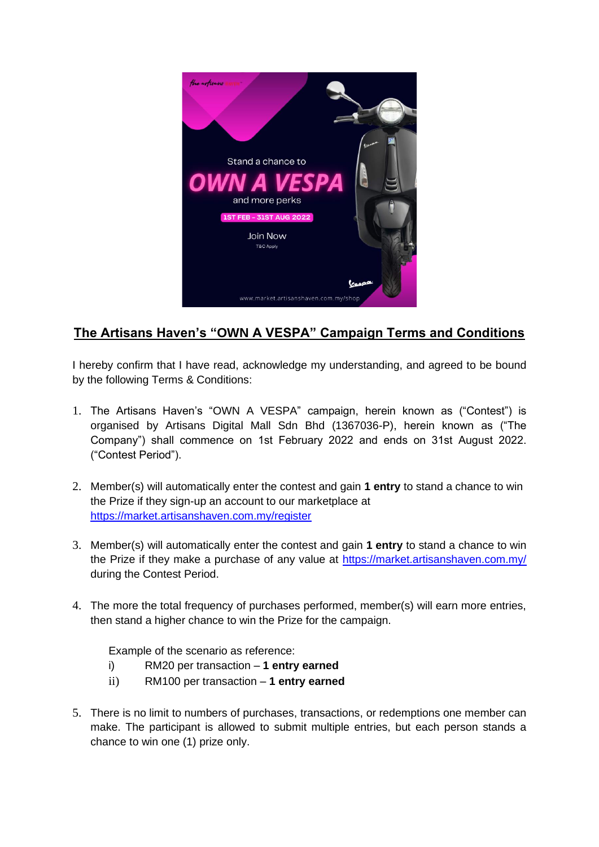

## **The Artisans Haven's "OWN A VESPA" Campaign Terms and Conditions**

I hereby confirm that I have read, acknowledge my understanding, and agreed to be bound by the following Terms & Conditions:

- 1. The Artisans Haven's "OWN A VESPA" campaign, herein known as ("Contest") is organised by Artisans Digital Mall Sdn Bhd (1367036-P), herein known as ("The Company") shall commence on 1st February 2022 and ends on 31st August 2022. ("Contest Period").
- 2. Member(s) will automatically enter the contest and gain **1 entry** to stand a chance to win the Prize if they sign-up an account to our marketplace at <https://market.artisanshaven.com.my/register>
- 3. Member(s) will automatically enter the contest and gain **1 entry** to stand a chance to win the Prize if they make a purchase of any value at<https://market.artisanshaven.com.my/> during the Contest Period.
- 4. The more the total frequency of purchases performed, member(s) will earn more entries, then stand a higher chance to win the Prize for the campaign.

Example of the scenario as reference:

- i) RM20 per transaction **1 entry earned**
- ii) RM100 per transaction **1 entry earned**
- 5. There is no limit to numbers of purchases, transactions, or redemptions one member can make. The participant is allowed to submit multiple entries, but each person stands a chance to win one (1) prize only.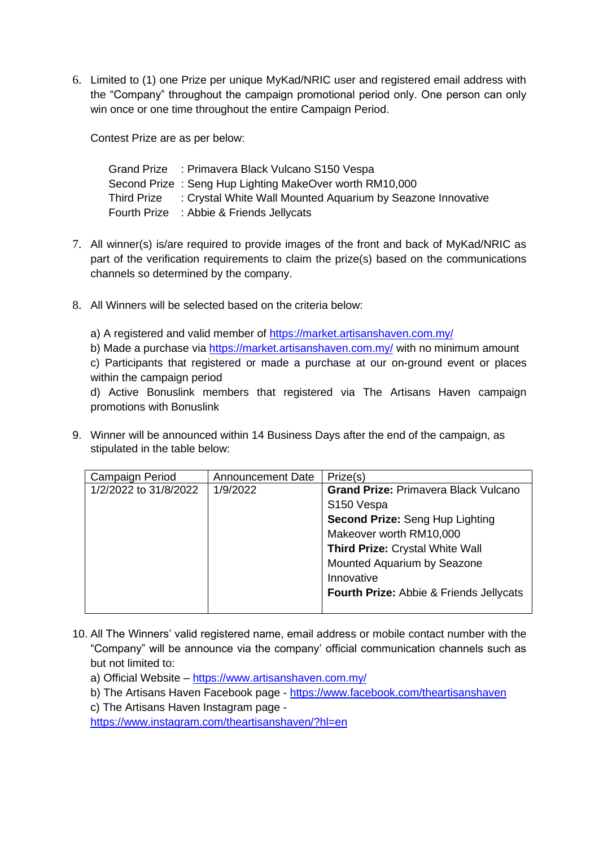6. Limited to (1) one Prize per unique MyKad/NRIC user and registered email address with the "Company" throughout the campaign promotional period only. One person can only win once or one time throughout the entire Campaign Period.

Contest Prize are as per below:

| Grand Prize : Primavera Black Vulcano S150 Vespa                        |
|-------------------------------------------------------------------------|
| Second Prize: Seng Hup Lighting MakeOver worth RM10,000                 |
| Third Prize : Crystal White Wall Mounted Aquarium by Seazone Innovative |
| Fourth Prize : Abbie & Friends Jellycats                                |

- 7. All winner(s) is/are required to provide images of the front and back of MyKad/NRIC as part of the verification requirements to claim the prize(s) based on the communications channels so determined by the company.
- 8. All Winners will be selected based on the criteria below:
	- a) A registered and valid member of<https://market.artisanshaven.com.my/>
	- b) Made a purchase via<https://market.artisanshaven.com.my/> with no minimum amount

c) Participants that registered or made a purchase at our on-ground event or places within the campaign period

d) Active Bonuslink members that registered via The Artisans Haven campaign promotions with Bonuslink

9. Winner will be announced within 14 Business Days after the end of the campaign, as stipulated in the table below:

| Campaign Period       | <b>Announcement Date</b> | Prize(s)                                    |
|-----------------------|--------------------------|---------------------------------------------|
| 1/2/2022 to 31/8/2022 | 1/9/2022                 | <b>Grand Prize: Primavera Black Vulcano</b> |
|                       |                          | S <sub>150</sub> Vespa                      |
|                       |                          | Second Prize: Seng Hup Lighting             |
|                       |                          | Makeover worth RM10,000                     |
|                       |                          | <b>Third Prize: Crystal White Wall</b>      |
|                       |                          | Mounted Aquarium by Seazone                 |
|                       |                          | Innovative                                  |
|                       |                          | Fourth Prize: Abbie & Friends Jellycats     |
|                       |                          |                                             |

- 10. All The Winners' valid registered name, email address or mobile contact number with the "Company" will be announce via the company' official communication channels such as but not limited to:
	- a) Official Website <https://www.artisanshaven.com.my/>
	- b) The Artisans Haven Facebook page <https://www.facebook.com/theartisanshaven>
	- c) The Artisans Haven Instagram page -

<https://www.instagram.com/theartisanshaven/?hl=en>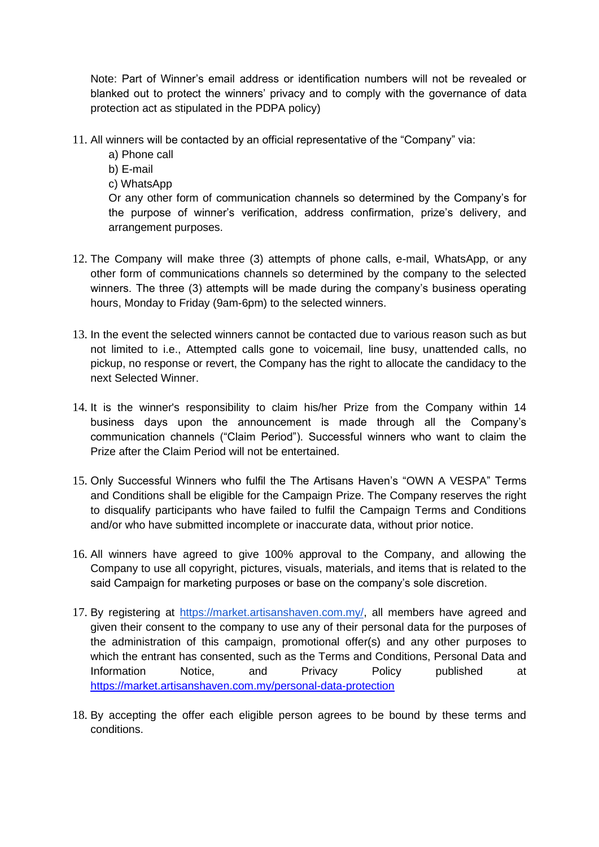Note: Part of Winner's email address or identification numbers will not be revealed or blanked out to protect the winners' privacy and to comply with the governance of data protection act as stipulated in the PDPA policy)

- 11. All winners will be contacted by an official representative of the "Company" via:
	- a) Phone call
	- b) E-mail
	- c) WhatsApp

Or any other form of communication channels so determined by the Company's for the purpose of winner's verification, address confirmation, prize's delivery, and arrangement purposes.

- 12. The Company will make three (3) attempts of phone calls, e-mail, WhatsApp, or any other form of communications channels so determined by the company to the selected winners. The three (3) attempts will be made during the company's business operating hours, Monday to Friday (9am-6pm) to the selected winners.
- 13. In the event the selected winners cannot be contacted due to various reason such as but not limited to i.e., Attempted calls gone to voicemail, line busy, unattended calls, no pickup, no response or revert, the Company has the right to allocate the candidacy to the next Selected Winner.
- 14. It is the winner's responsibility to claim his/her Prize from the Company within 14 business days upon the announcement is made through all the Company's communication channels ("Claim Period"). Successful winners who want to claim the Prize after the Claim Period will not be entertained.
- 15. Only Successful Winners who fulfil the The Artisans Haven's "OWN A VESPA" Terms and Conditions shall be eligible for the Campaign Prize. The Company reserves the right to disqualify participants who have failed to fulfil the Campaign Terms and Conditions and/or who have submitted incomplete or inaccurate data, without prior notice.
- 16. All winners have agreed to give 100% approval to the Company, and allowing the Company to use all copyright, pictures, visuals, materials, and items that is related to the said Campaign for marketing purposes or base on the company's sole discretion.
- 17. By registering at [https://market.artisanshaven.com.my/,](https://market.artisanshaven.com.my/) all members have agreed and given their consent to the company to use any of their personal data for the purposes of the administration of this campaign, promotional offer(s) and any other purposes to which the entrant has consented, such as the Terms and Conditions, Personal Data and Information Notice, and Privacy Policy published at <https://market.artisanshaven.com.my/personal-data-protection>
- 18. By accepting the offer each eligible person agrees to be bound by these terms and conditions.